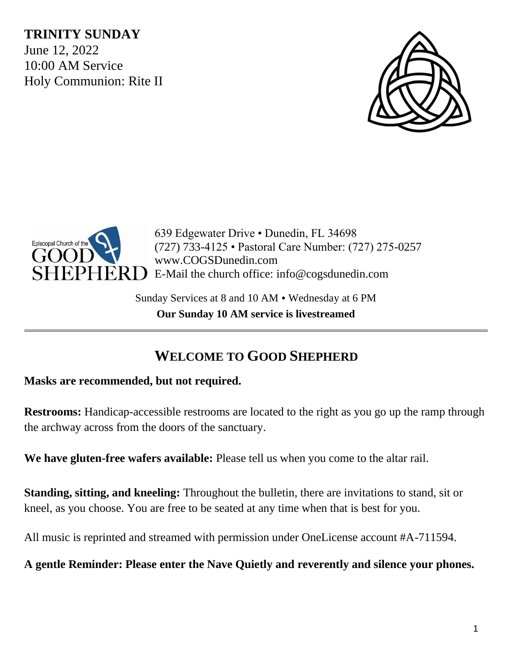**TRINITY SUNDAY** June 12, 2022 10:00 AM Service Holy Communion: Rite II





639 Edgewater Drive • Dunedin, FL 34698 (727) 733-4125 • Pastoral Care Number: (727) 275-0257 www.COGSDunedin.com E-Mail the church office: info@cogsdunedin.com

Sunday Services at 8 and 10 AM • Wednesday at 6 PM **Our Sunday 10 AM service is livestreamed**

# **WELCOME TO GOOD SHEPHERD**

## **Masks are recommended, but not required.**

**Restrooms:** Handicap-accessible restrooms are located to the right as you go up the ramp through the archway across from the doors of the sanctuary.

**We have gluten-free wafers available:** Please tell us when you come to the altar rail.

**Standing, sitting, and kneeling:** Throughout the bulletin, there are invitations to stand, sit or kneel, as you choose. You are free to be seated at any time when that is best for you.

All music is reprinted and streamed with permission under OneLicense account #A-711594.

**A gentle Reminder: Please enter the Nave Quietly and reverently and silence your phones.**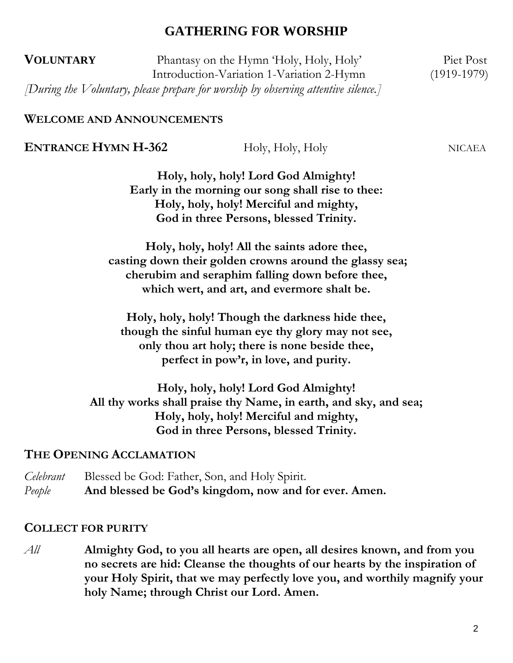# **GATHERING FOR WORSHIP**

**VOLUNTARY** Phantasy on the Hymn 'Holy, Holy, Holy' Piet Post

 Introduction-Variation 1-Variation 2-Hymn (1919-1979) *[During the Voluntary, please prepare for worship by observing attentive silence.]*

**WELCOME AND ANNOUNCEMENTS**

**ENTRANCE HYMN H-362** Holy, Holy, Holy Holy NICAEA

**Holy, holy, holy! Lord God Almighty! Early in the morning our song shall rise to thee: Holy, holy, holy! Merciful and mighty, God in three Persons, blessed Trinity.**

**Holy, holy, holy! All the saints adore thee, casting down their golden crowns around the glassy sea; cherubim and seraphim falling down before thee, which wert, and art, and evermore shalt be.**

**Holy, holy, holy! Though the darkness hide thee, though the sinful human eye thy glory may not see, only thou art holy; there is none beside thee, perfect in pow'r, in love, and purity.**

**Holy, holy, holy! Lord God Almighty! All thy works shall praise thy Name, in earth, and sky, and sea; Holy, holy, holy! Merciful and mighty, God in three Persons, blessed Trinity.**

### **THE OPENING ACCLAMATION**

*Celebrant* Blessed be God: Father, Son, and Holy Spirit. *People* **And blessed be God's kingdom, now and for ever. Amen.** 

#### **COLLECT FOR PURITY**

*All* **Almighty God, to you all hearts are open, all desires known, and from you no secrets are hid: Cleanse the thoughts of our hearts by the inspiration of your Holy Spirit, that we may perfectly love you, and worthily magnify your holy Name; through Christ our Lord. Amen.**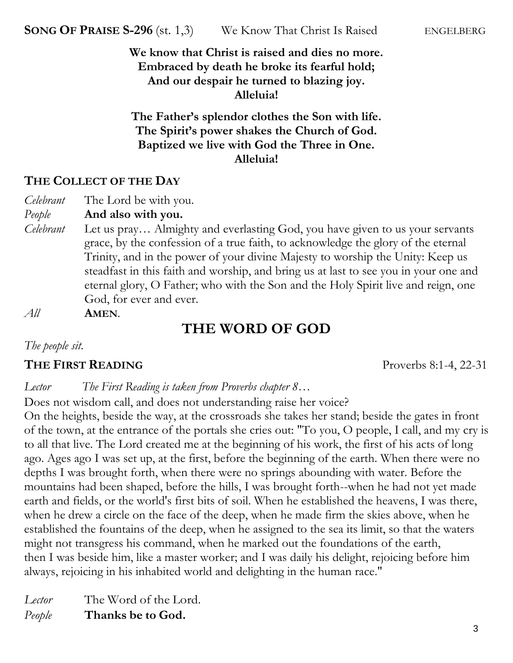# **We know that Christ is raised and dies no more. Embraced by death he broke its fearful hold; And our despair he turned to blazing joy. Alleluia!**

**The Father's splendor clothes the Son with life. The Spirit's power shakes the Church of God. Baptized we live with God the Three in One. Alleluia!** 

## **THE COLLECT OF THE DAY**

*Celebrant* The Lord be with you.

*People* **And also with you.**

- *Celebrant* Let us pray… Almighty and everlasting God, you have given to us your servants grace, by the confession of a true faith, to acknowledge the glory of the eternal Trinity, and in the power of your divine Majesty to worship the Unity: Keep us steadfast in this faith and worship, and bring us at last to see you in your one and eternal glory, O Father; who with the Son and the Holy Spirit live and reign, one God, for ever and ever.
- *All* **AMEN**.

# **THE WORD OF GOD**

*The people sit.*

### **THE FIRST READING** Proverbs 8:1-4, 22-31

*Lector The First Reading is taken from Proverbs chapter 8…*

Does not wisdom call, and does not understanding raise her voice?

On the heights, beside the way, at the crossroads she takes her stand; beside the gates in front of the town, at the entrance of the portals she cries out: "To you, O people, I call, and my cry is to all that live. The Lord created me at the beginning of his work, the first of his acts of long ago. Ages ago I was set up, at the first, before the beginning of the earth. When there were no depths I was brought forth, when there were no springs abounding with water. Before the mountains had been shaped, before the hills, I was brought forth--when he had not yet made earth and fields, or the world's first bits of soil. When he established the heavens, I was there, when he drew a circle on the face of the deep, when he made firm the skies above, when he established the fountains of the deep, when he assigned to the sea its limit, so that the waters might not transgress his command, when he marked out the foundations of the earth, then I was beside him, like a master worker; and I was daily his delight, rejoicing before him always, rejoicing in his inhabited world and delighting in the human race."

*Lector* The Word of the Lord. *People* **Thanks be to God.**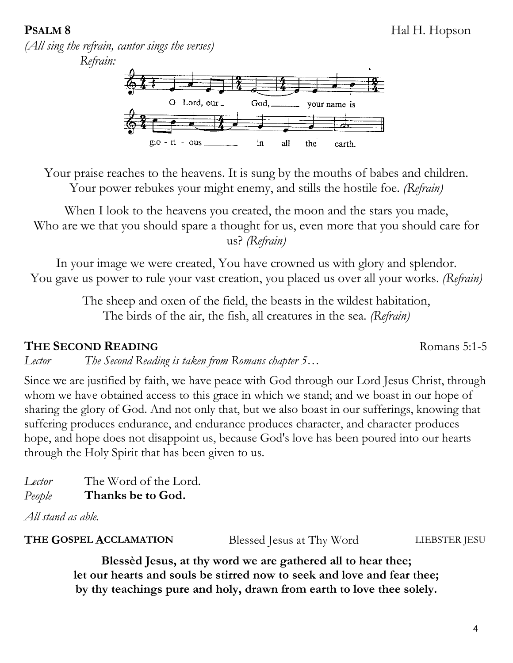# **PSALM 8** Hal H. Hopson

*(All sing the refrain, cantor sings the verses) Refrain:*



Your praise reaches to the heavens. It is sung by the mouths of babes and children. Your power rebukes your might enemy, and stills the hostile foe. *(Refrain)*

When I look to the heavens you created, the moon and the stars you made, Who are we that you should spare a thought for us, even more that you should care for us? *(Refrain)*

In your image we were created, You have crowned us with glory and splendor. You gave us power to rule your vast creation, you placed us over all your works. *(Refrain)*

> The sheep and oxen of the field, the beasts in the wildest habitation, The birds of the air, the fish, all creatures in the sea. *(Refrain)*

## **THE SECOND READING** Romans 5:1-5

*Lector The Second Reading is taken from Romans chapter 5…*

Since we are justified by faith, we have peace with God through our Lord Jesus Christ, through whom we have obtained access to this grace in which we stand; and we boast in our hope of sharing the glory of God. And not only that, but we also boast in our sufferings, knowing that suffering produces endurance, and endurance produces character, and character produces hope, and hope does not disappoint us, because God's love has been poured into our hearts through the Holy Spirit that has been given to us.

*Lector* The Word of the Lord. *People* **Thanks be to God.**

*All stand as able.*

**THE GOSPEL ACCLAMATION** Blessed Jesus at Thy Word LIEBSTER JESU

**Blessèd Jesus, at thy word we are gathered all to hear thee; let our hearts and souls be stirred now to seek and love and fear thee; by thy teachings pure and holy, drawn from earth to love thee solely.**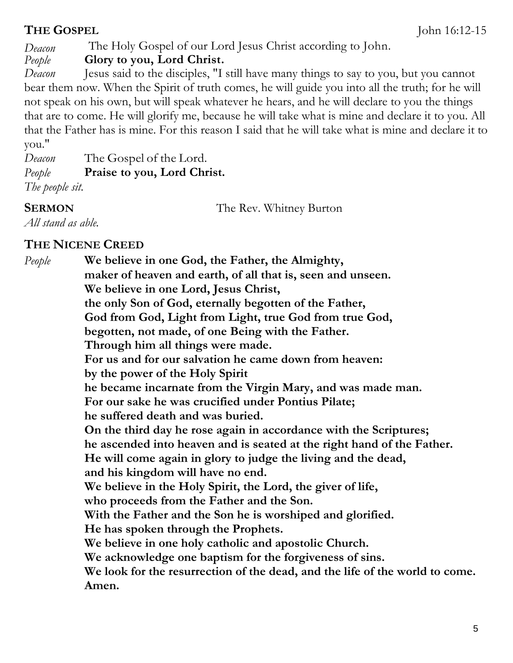# **THE GOSPEL** John 16:12-15

*Deacon* The Holy Gospel of our Lord Jesus Christ according to John.

*People* **Glory to you, Lord Christ.**

*Deacon* Jesus said to the disciples, "I still have many things to say to you, but you cannot bear them now. When the Spirit of truth comes, he will guide you into all the truth; for he will not speak on his own, but will speak whatever he hears, and he will declare to you the things that are to come. He will glorify me, because he will take what is mine and declare it to you. All that the Father has is mine. For this reason I said that he will take what is mine and declare it to you."

*Deacon* The Gospel of the Lord. *People* **Praise to you, Lord Christ.** *The people sit.*

**SERMON** The Rev. Whitney Burton

*All stand as able.*

# **THE NICENE CREED**

*People* **We believe in one God, the Father, the Almighty, maker of heaven and earth, of all that is, seen and unseen. We believe in one Lord, Jesus Christ, the only Son of God, eternally begotten of the Father, God from God, Light from Light, true God from true God, begotten, not made, of one Being with the Father. Through him all things were made. For us and for our salvation he came down from heaven: by the power of the Holy Spirit he became incarnate from the Virgin Mary, and was made man. For our sake he was crucified under Pontius Pilate; he suffered death and was buried. On the third day he rose again in accordance with the Scriptures; he ascended into heaven and is seated at the right hand of the Father. He will come again in glory to judge the living and the dead, and his kingdom will have no end. We believe in the Holy Spirit, the Lord, the giver of life, who proceeds from the Father and the Son. With the Father and the Son he is worshiped and glorified. He has spoken through the Prophets. We believe in one holy catholic and apostolic Church. We acknowledge one baptism for the forgiveness of sins. We look for the resurrection of the dead, and the life of the world to come. Amen.**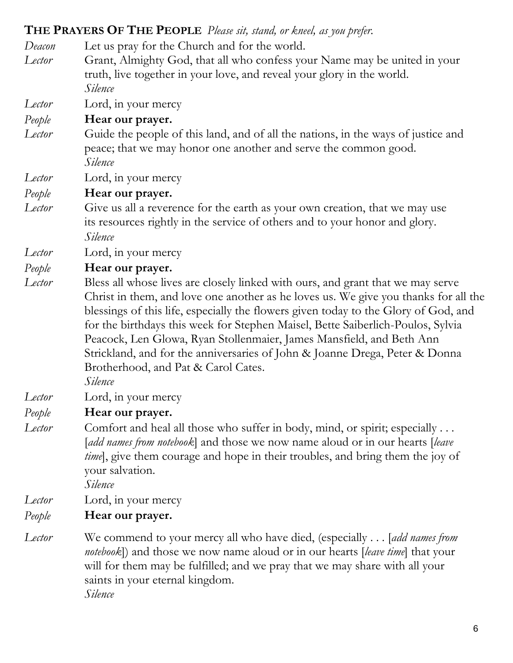**THE PRAYERS OF THE PEOPLE** *Please sit, stand, or kneel, as you prefer. Deacon* Let us pray for the Church and for the world. *Lector* Grant, Almighty God, that all who confess your Name may be united in your truth, live together in your love, and reveal your glory in the world. *Silence Lector* Lord, in your mercy *People* **Hear our prayer.** *Lector* Guide the people of this land, and of all the nations, in the ways of justice and peace; that we may honor one another and serve the common good. *Silence Lector* Lord, in your mercy *People* **Hear our prayer.** *Lector* Give us all a reverence for the earth as your own creation, that we may use its resources rightly in the service of others and to your honor and glory. *Silence Lector* Lord, in your mercy *People* **Hear our prayer.** *Lector* Bless all whose lives are closely linked with ours, and grant that we may serve Christ in them, and love one another as he loves us. We give you thanks for all the blessings of this life, especially the flowers given today to the Glory of God, and for the birthdays this week for Stephen Maisel, Bette Saiberlich-Poulos, Sylvia Peacock, Len Glowa, Ryan Stollenmaier, James Mansfield, and Beth Ann Strickland, and for the anniversaries of John & Joanne Drega, Peter & Donna Brotherhood, and Pat & Carol Cates. *Silence Lector* Lord, in your mercy *People* **Hear our prayer.** *Lector* Comfort and heal all those who suffer in body, mind, or spirit; especially ... [*add names from notebook*] and those we now name aloud or in our hearts [*leave time*, give them courage and hope in their troubles, and bring them the joy of your salvation. *Silence Lector* Lord, in your mercy *People* **Hear our prayer.** *Lector* We commend to your mercy all who have died, (especially . . . [*add names from*

*notebook*]) and those we now name aloud or in our hearts [*leave time*] that your will for them may be fulfilled; and we pray that we may share with all your saints in your eternal kingdom. *Silence*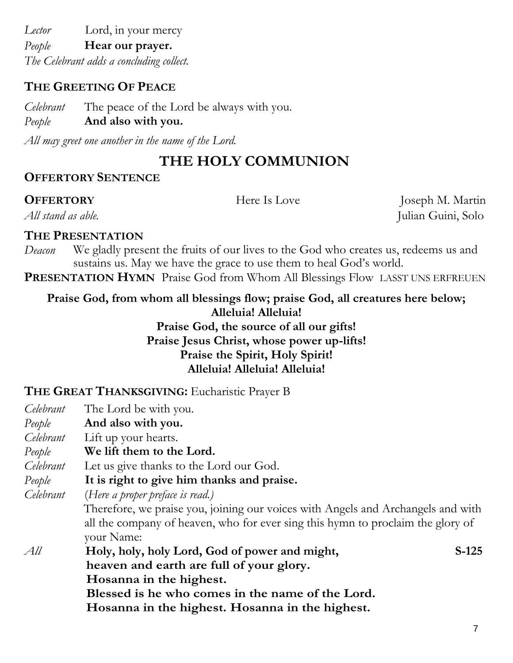*Lector* Lord, in your mercy *People* **Hear our prayer.** *The Celebrant adds a concluding collect.*

## **THE GREETING OF PEACE**

*Celebrant* The peace of the Lord be always with you. *People* **And also with you.**

*All may greet one another in the name of the Lord.*

# **THE HOLY COMMUNION**

#### **OFFERTORY SENTENCE**

**OFFERTORY** Here Is Love Joseph M. Martin *All stand as able.* Julian Guini, Solo

## **THE PRESENTATION**

*Deacon* We gladly present the fruits of our lives to the God who creates us, redeems us and sustains us. May we have the grace to use them to heal God's world.

**PRESENTATION HYMN** Praise God from Whom All Blessings Flow LASST UNS ERFREUEN

# **Praise God, from whom all blessings flow; praise God, all creatures here below; Alleluia! Alleluia! Praise God, the source of all our gifts!**

**Praise Jesus Christ, whose power up-lifts! Praise the Spirit, Holy Spirit! Alleluia! Alleluia! Alleluia!**

## **THE GREAT THANKSGIVING:** Eucharistic Prayer B

| Celebrant | The Lord be with you.                                                            |         |  |
|-----------|----------------------------------------------------------------------------------|---------|--|
| People    | And also with you.                                                               |         |  |
| Celebrant | Lift up your hearts.                                                             |         |  |
| People    | We lift them to the Lord.                                                        |         |  |
| Celebrant | Let us give thanks to the Lord our God.                                          |         |  |
| People    | It is right to give him thanks and praise.                                       |         |  |
| Celebrant | (Here a proper preface is read.)                                                 |         |  |
|           | Therefore, we praise you, joining our voices with Angels and Archangels and with |         |  |
|           | all the company of heaven, who for ever sing this hymn to proclaim the glory of  |         |  |
|           | your Name:                                                                       |         |  |
| All       | Holy, holy, holy Lord, God of power and might,                                   | $S-125$ |  |
|           | heaven and earth are full of your glory.                                         |         |  |
|           | Hosanna in the highest.                                                          |         |  |
|           | Blessed is he who comes in the name of the Lord.                                 |         |  |
|           | Hosanna in the highest. Hosanna in the highest.                                  |         |  |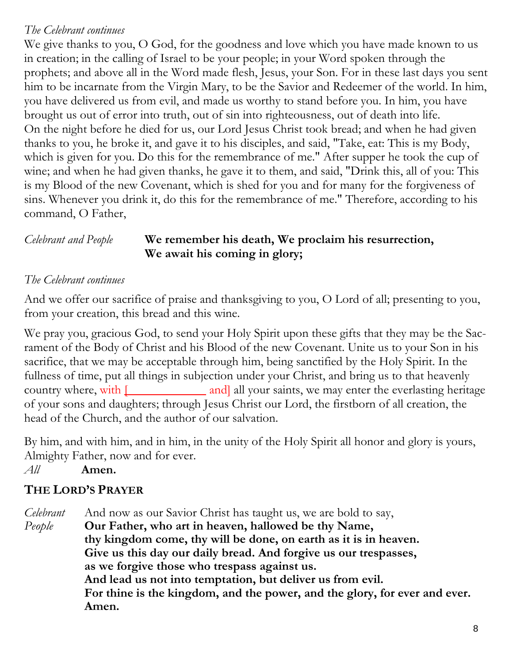## *The Celebrant continues*

We give thanks to you, O God, for the goodness and love which you have made known to us in creation; in the calling of Israel to be your people; in your Word spoken through the prophets; and above all in the Word made flesh, Jesus, your Son. For in these last days you sent him to be incarnate from the Virgin Mary, to be the Savior and Redeemer of the world. In him, you have delivered us from evil, and made us worthy to stand before you. In him, you have brought us out of error into truth, out of sin into righteousness, out of death into life. On the night before he died for us, our Lord Jesus Christ took bread; and when he had given thanks to you, he broke it, and gave it to his disciples, and said, "Take, eat: This is my Body, which is given for you. Do this for the remembrance of me." After supper he took the cup of wine; and when he had given thanks, he gave it to them, and said, "Drink this, all of you: This is my Blood of the new Covenant, which is shed for you and for many for the forgiveness of sins. Whenever you drink it, do this for the remembrance of me." Therefore, according to his command, O Father,

## *Celebrant and People* **We remember his death, We proclaim his resurrection, We await his coming in glory;**

## *The Celebrant continues*

And we offer our sacrifice of praise and thanksgiving to you, O Lord of all; presenting to you, from your creation, this bread and this wine.

We pray you, gracious God, to send your Holy Spirit upon these gifts that they may be the Sacrament of the Body of Christ and his Blood of the new Covenant. Unite us to your Son in his sacrifice, that we may be acceptable through him, being sanctified by the Holy Spirit. In the fullness of time, put all things in subjection under your Christ, and bring us to that heavenly country where, with  $\Box$  and all your saints, we may enter the everlasting heritage of your sons and daughters; through Jesus Christ our Lord, the firstborn of all creation, the head of the Church, and the author of our salvation.

By him, and with him, and in him, in the unity of the Holy Spirit all honor and glory is yours, Almighty Father, now and for ever.

*All* **Amen.** 

# **THE LORD'S PRAYER**

*Celebrant* And now as our Savior Christ has taught us, we are bold to say, *People* **Our Father, who art in heaven, hallowed be thy Name, thy kingdom come, thy will be done, on earth as it is in heaven. Give us this day our daily bread. And forgive us our trespasses, as we forgive those who trespass against us. And lead us not into temptation, but deliver us from evil. For thine is the kingdom, and the power, and the glory, for ever and ever. Amen.**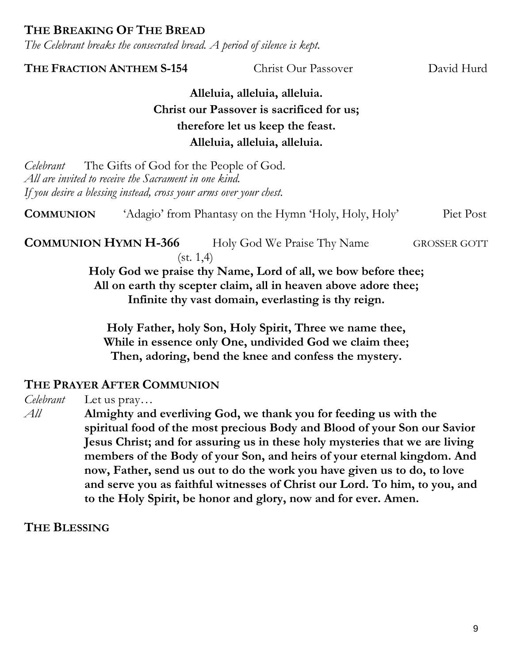## **THE BREAKING OF THE BREAD**

*The Celebrant breaks the consecrated bread. A period of silence is kept.*

**THE FRACTION ANTHEM S-154** Christ Our Passover David Hurd **Alleluia, alleluia, alleluia. Christ our Passover is sacrificed for us; therefore let us keep the feast. Alleluia, alleluia, alleluia.** *Celebrant* The Gifts of God for the People of God. *All are invited to receive the Sacrament in one kind. If you desire a blessing instead, cross your arms over your chest.* **COMMUNION** <sup>'</sup>Adagio' from Phantasy on the Hymn 'Holy, Holy, Holy' Piet Post **COMMUNION HYMN H-366** Holy God We Praise Thy Name GROSSER GOTT  $(st. 1, 4)$ **Holy God we praise thy Name, Lord of all, we bow before thee; All on earth thy scepter claim, all in heaven above adore thee; Infinite thy vast domain, everlasting is thy reign. Holy Father, holy Son, Holy Spirit, Three we name thee, While in essence only One, undivided God we claim thee;**

**Then, adoring, bend the knee and confess the mystery.**

#### **THE PRAYER AFTER COMMUNION**

*Celebrant* Let us pray… *All* **Almighty and everliving God, we thank you for feeding us with the spiritual food of the most precious Body and Blood of your Son our Savior Jesus Christ; and for assuring us in these holy mysteries that we are living members of the Body of your Son, and heirs of your eternal kingdom. And now, Father, send us out to do the work you have given us to do, to love and serve you as faithful witnesses of Christ our Lord. To him, to you, and to the Holy Spirit, be honor and glory, now and for ever. Amen.**

### **THE BLESSING**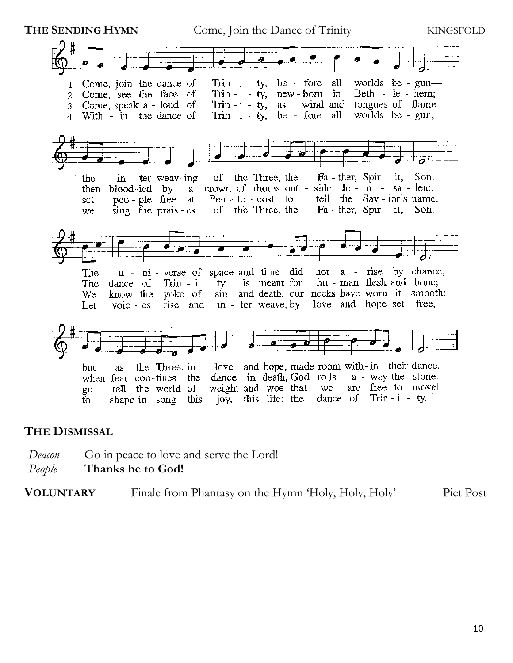

### **THE DISMISSAL**

- *Deacon* Go in peace to love and serve the Lord!
- *People* **Thanks be to God!**

Finale from Phantasy on the Hymn 'Holy, Holy, Holy' Piet Post **VOLUNTARY**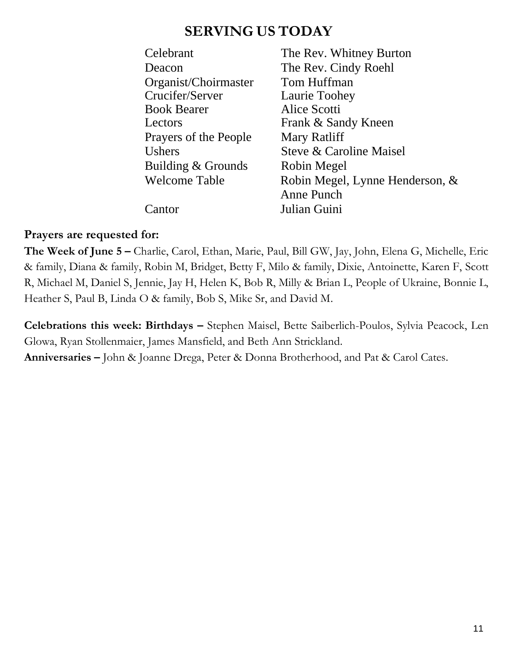# **SERVING US TODAY**

| Celebrant             | The Rev. Whitney Burton         |
|-----------------------|---------------------------------|
| Deacon                | The Rev. Cindy Roehl            |
| Organist/Choirmaster  | Tom Huffman                     |
| Crucifer/Server       | Laurie Toohey                   |
| <b>Book Bearer</b>    | Alice Scotti                    |
| Lectors               | Frank & Sandy Kneen             |
| Prayers of the People | Mary Ratliff                    |
| <b>Ushers</b>         | Steve & Caroline Maisel         |
| Building & Grounds    | Robin Megel                     |
| <b>Welcome Table</b>  | Robin Megel, Lynne Henderson, & |
|                       | Anne Punch                      |
| Cantor                | Julian Guini                    |

## **Prayers are requested for:**

**The Week of June 5 –** Charlie, Carol, Ethan, Marie, Paul, Bill GW, Jay, John, Elena G, Michelle, Eric & family, Diana & family, Robin M, Bridget, Betty F, Milo & family, Dixie, Antoinette, Karen F, Scott R, Michael M, Daniel S, Jennie, Jay H, Helen K, Bob R, Milly & Brian L, People of Ukraine, Bonnie L, Heather S, Paul B, Linda O & family, Bob S, Mike Sr, and David M.

**Celebrations this week: Birthdays –** Stephen Maisel, Bette Saiberlich-Poulos, Sylvia Peacock, Len Glowa, Ryan Stollenmaier, James Mansfield, and Beth Ann Strickland. **Anniversaries –** John & Joanne Drega, Peter & Donna Brotherhood, and Pat & Carol Cates.